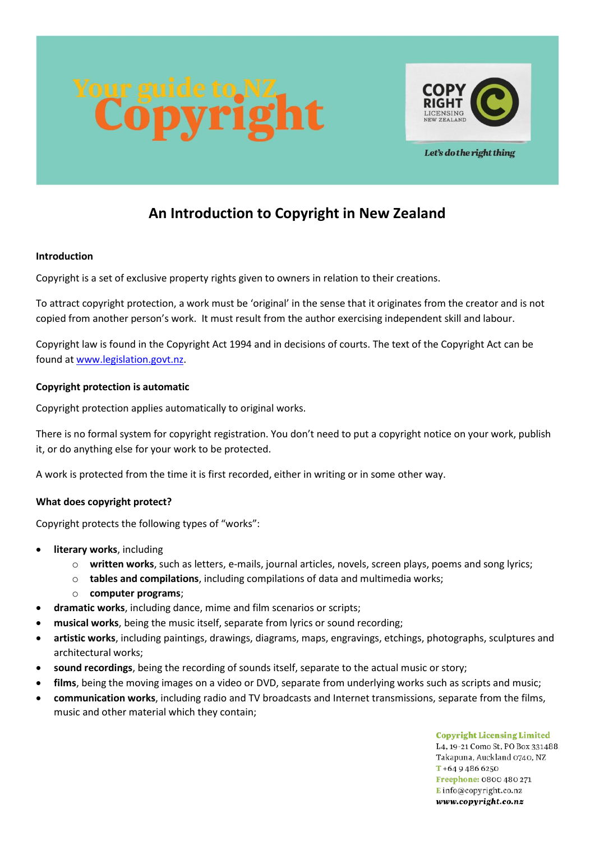



Let's do the right thing

# **An Introduction to Copyright in New Zealand**

## **Introduction**

Copyright is a set of exclusive property rights given to owners in relation to their creations.

To attract copyright protection, a work must be 'original' in the sense that it originates from the creator and is not copied from another person's work. It must result from the author exercising independent skill and labour.

Copyright law is found in the Copyright Act 1994 and in decisions of courts. The text of the Copyright Act can be found at [www.legislation.govt.nz.](http://www.legislation.govt.nz/)

## **Copyright protection is automatic**

Copyright protection applies automatically to original works.

There is no formal system for copyright registration. You don't need to put a copyright notice on your work, publish it, or do anything else for your work to be protected.

A work is protected from the time it is first recorded, either in writing or in some other way.

# **What does copyright protect?**

Copyright protects the following types of "works":

- **literary works**, including
	- o **written works**, such as letters, e-mails, journal articles, novels, screen plays, poems and song lyrics;
	- o **tables and compilations**, including compilations of data and multimedia works;
	- o **computer programs**;
- **dramatic works**, including dance, mime and film scenarios or scripts;
- **musical works**, being the music itself, separate from lyrics or sound recording;
- **artistic works**, including paintings, drawings, diagrams, maps, engravings, etchings, photographs, sculptures and architectural works;
- **sound recordings**, being the recording of sounds itself, separate to the actual music or story;
- **films**, being the moving images on a video or DVD, separate from underlying works such as scripts and music;
- **communication works**, including radio and TV broadcasts and Internet transmissions, separate from the films, music and other material which they contain;

**Copyright Licensing Limited** L4, 19-21 Como St, PO Box 331488. Takapuna, Auckland 0740, NZ  $T + 6494866250$ Freephone: 0800 480 271 Einfo@copyright.co.nz www.copyright.co.nz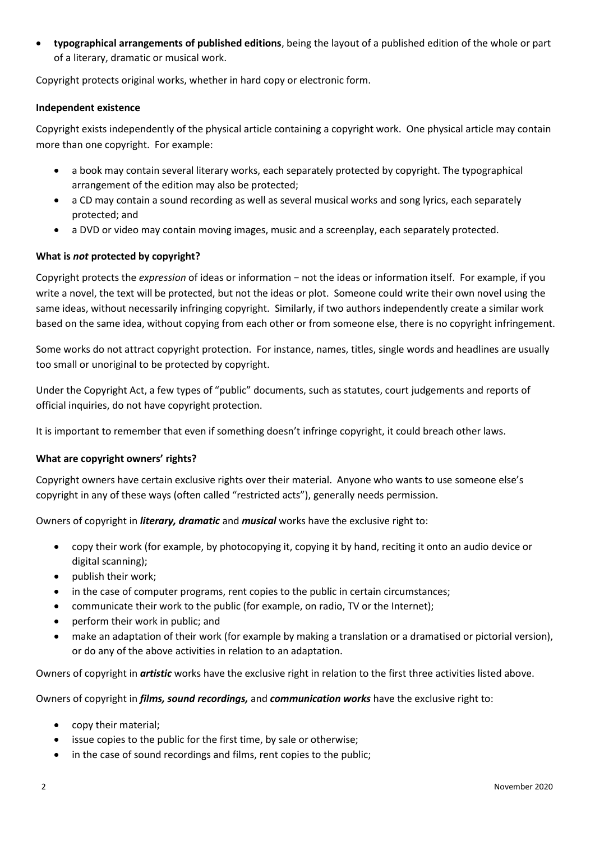• **typographical arrangements of published editions**, being the layout of a published edition of the whole or part of a literary, dramatic or musical work.

Copyright protects original works, whether in hard copy or electronic form.

## **Independent existence**

Copyright exists independently of the physical article containing a copyright work. One physical article may contain more than one copyright. For example:

- a book may contain several literary works, each separately protected by copyright. The typographical arrangement of the edition may also be protected;
- a CD may contain a sound recording as well as several musical works and song lyrics, each separately protected; and
- a DVD or video may contain moving images, music and a screenplay, each separately protected.

# **What is** *not* **protected by copyright?**

Copyright protects the *expression* of ideas or information − not the ideas or information itself. For example, if you write a novel, the text will be protected, but not the ideas or plot. Someone could write their own novel using the same ideas, without necessarily infringing copyright. Similarly, if two authors independently create a similar work based on the same idea, without copying from each other or from someone else, there is no copyright infringement.

Some works do not attract copyright protection. For instance, names, titles, single words and headlines are usually too small or unoriginal to be protected by copyright.

Under the Copyright Act, a few types of "public" documents, such as statutes, court judgements and reports of official inquiries, do not have copyright protection.

It is important to remember that even if something doesn't infringe copyright, it could breach other laws.

#### **What are copyright owners' rights?**

Copyright owners have certain exclusive rights over their material. Anyone who wants to use someone else's copyright in any of these ways (often called "restricted acts"), generally needs permission.

Owners of copyright in *literary, dramatic* and *musical* works have the exclusive right to:

- copy their work (for example, by photocopying it, copying it by hand, reciting it onto an audio device or digital scanning);
- publish their work;
- in the case of computer programs, rent copies to the public in certain circumstances;
- communicate their work to the public (for example, on radio, TV or the Internet);
- perform their work in public; and
- make an adaptation of their work (for example by making a translation or a dramatised or pictorial version), or do any of the above activities in relation to an adaptation.

Owners of copyright in *artistic* works have the exclusive right in relation to the first three activities listed above.

Owners of copyright in *films, sound recordings,* and *communication works* have the exclusive right to:

- copy their material;
- issue copies to the public for the first time, by sale or otherwise;
- in the case of sound recordings and films, rent copies to the public;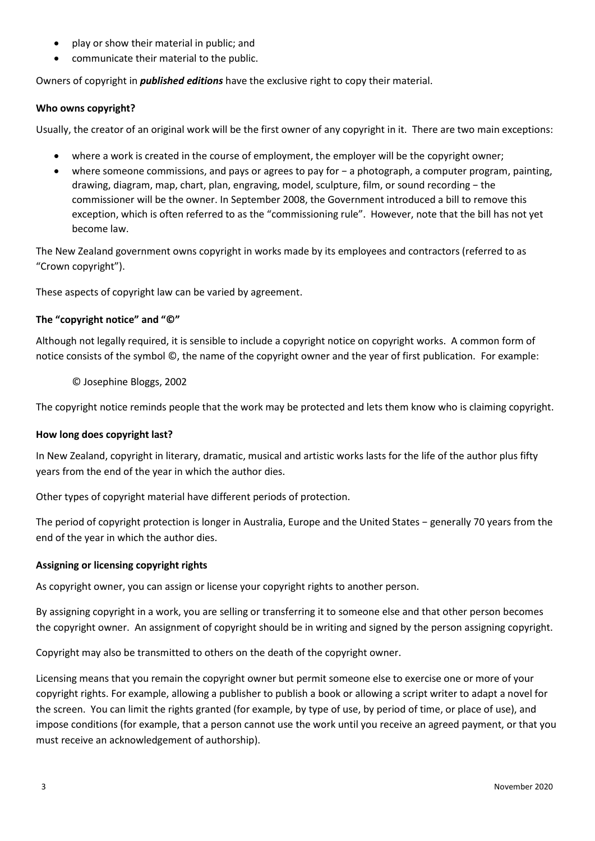- play or show their material in public; and
- communicate their material to the public.

Owners of copyright in *published editions* have the exclusive right to copy their material.

## **Who owns copyright?**

Usually, the creator of an original work will be the first owner of any copyright in it. There are two main exceptions:

- where a work is created in the course of employment, the employer will be the copyright owner;
- where someone commissions, and pays or agrees to pay for − a photograph, a computer program, painting, drawing, diagram, map, chart, plan, engraving, model, sculpture, film, or sound recording − the commissioner will be the owner. In September 2008, the Government introduced a bill to remove this exception, which is often referred to as the "commissioning rule". However, note that the bill has not yet become law.

The New Zealand government owns copyright in works made by its employees and contractors (referred to as "Crown copyright").

These aspects of copyright law can be varied by agreement.

## **The "copyright notice" and "©"**

Although not legally required, it is sensible to include a copyright notice on copyright works. A common form of notice consists of the symbol ©, the name of the copyright owner and the year of first publication. For example:

© Josephine Bloggs, 2002

The copyright notice reminds people that the work may be protected and lets them know who is claiming copyright.

#### **How long does copyright last?**

In New Zealand, copyright in literary, dramatic, musical and artistic works lasts for the life of the author plus fifty years from the end of the year in which the author dies.

Other types of copyright material have different periods of protection.

The period of copyright protection is longer in Australia, Europe and the United States − generally 70 years from the end of the year in which the author dies.

#### **Assigning or licensing copyright rights**

As copyright owner, you can assign or license your copyright rights to another person.

By assigning copyright in a work, you are selling or transferring it to someone else and that other person becomes the copyright owner. An assignment of copyright should be in writing and signed by the person assigning copyright.

Copyright may also be transmitted to others on the death of the copyright owner.

Licensing means that you remain the copyright owner but permit someone else to exercise one or more of your copyright rights. For example, allowing a publisher to publish a book or allowing a script writer to adapt a novel for the screen. You can limit the rights granted (for example, by type of use, by period of time, or place of use), and impose conditions (for example, that a person cannot use the work until you receive an agreed payment, or that you must receive an acknowledgement of authorship).